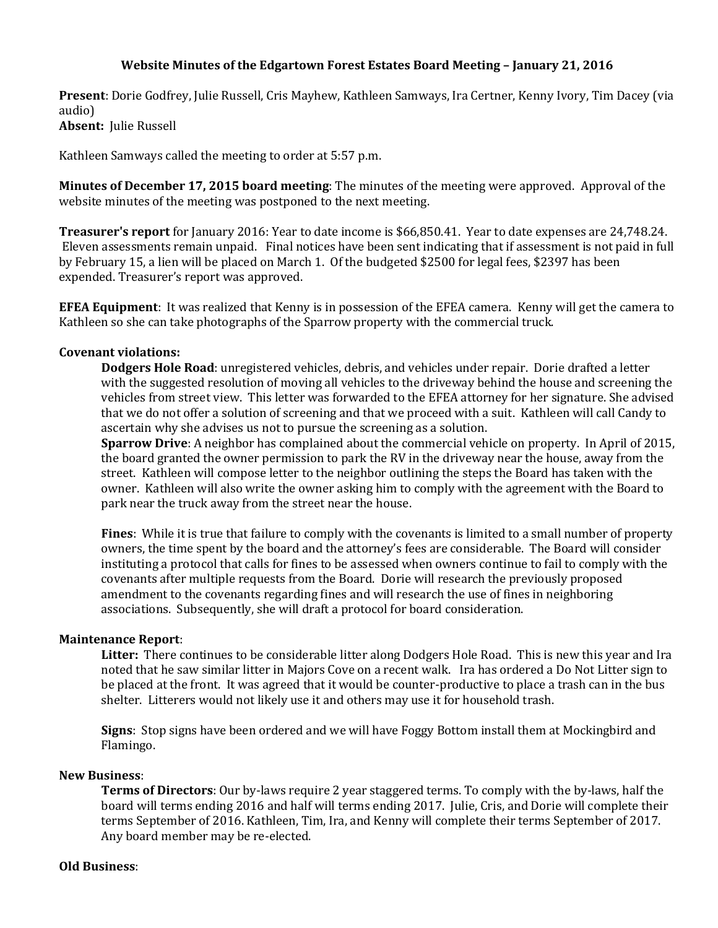# **Website Minutes of the Edgartown Forest Estates Board Meeting – January 21, 2016**

**Present**: Dorie Godfrey, Julie Russell, Cris Mayhew, Kathleen Samways, Ira Certner, Kenny Ivory, Tim Dacey (via audio) **Absent:** Julie Russell

Kathleen Samways called the meeting to order at 5:57 p.m.

**Minutes of December 17, 2015 board meeting**: The minutes of the meeting were approved. Approval of the website minutes of the meeting was postponed to the next meeting.

**Treasurer's report** for January 2016: Year to date income is \$66,850.41. Year to date expenses are 24,748.24. Eleven assessments remain unpaid. Final notices have been sent indicating that if assessment is not paid in full by February 15, a lien will be placed on March 1. Of the budgeted \$2500 for legal fees, \$2397 has been expended. Treasurer's report was approved.

**EFEA Equipment**: It was realized that Kenny is in possession of the EFEA camera. Kenny will get the camera to Kathleen so she can take photographs of the Sparrow property with the commercial truck.

### **Covenant violations:**

**Dodgers Hole Road**: unregistered vehicles, debris, and vehicles under repair. Dorie drafted a letter with the suggested resolution of moving all vehicles to the driveway behind the house and screening the vehicles from street view. This letter was forwarded to the EFEA attorney for her signature. She advised that we do not offer a solution of screening and that we proceed with a suit. Kathleen will call Candy to ascertain why she advises us not to pursue the screening as a solution.

**Sparrow Drive**: A neighbor has complained about the commercial vehicle on property. In April of 2015, the board granted the owner permission to park the RV in the driveway near the house, away from the street. Kathleen will compose letter to the neighbor outlining the steps the Board has taken with the owner. Kathleen will also write the owner asking him to comply with the agreement with the Board to park near the truck away from the street near the house.

**Fines**: While it is true that failure to comply with the covenants is limited to a small number of property owners, the time spent by the board and the attorney's fees are considerable. The Board will consider instituting a protocol that calls for fines to be assessed when owners continue to fail to comply with the covenants after multiple requests from the Board. Dorie will research the previously proposed amendment to the covenants regarding fines and will research the use of fines in neighboring associations. Subsequently, she will draft a protocol for board consideration.

#### **Maintenance Report**:

**Litter:** There continues to be considerable litter along Dodgers Hole Road. This is new this year and Ira noted that he saw similar litter in Majors Cove on a recent walk. Ira has ordered a Do Not Litter sign to be placed at the front. It was agreed that it would be counter-productive to place a trash can in the bus shelter. Litterers would not likely use it and others may use it for household trash.

**Signs**: Stop signs have been ordered and we will have Foggy Bottom install them at Mockingbird and Flamingo.

### **New Business**:

**Terms of Directors**: Our by-laws require 2 year staggered terms. To comply with the by-laws, half the board will terms ending 2016 and half will terms ending 2017. Julie, Cris, and Dorie will complete their terms September of 2016. Kathleen, Tim, Ira, and Kenny will complete their terms September of 2017. Any board member may be re-elected.

#### **Old Business**: